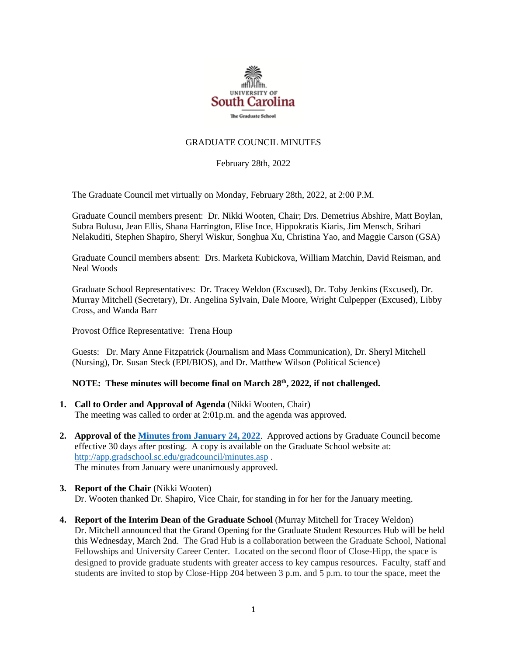

# GRADUATE COUNCIL MINUTES

February 28th, 2022

The Graduate Council met virtually on Monday, February 28th, 2022, at 2:00 P.M.

Graduate Council members present: Dr. Nikki Wooten, Chair; Drs. Demetrius Abshire, Matt Boylan, Subra Bulusu, Jean Ellis, Shana Harrington, Elise Ince, Hippokratis Kiaris, Jim Mensch, Srihari Nelakuditi, Stephen Shapiro, Sheryl Wiskur, Songhua Xu, Christina Yao, and Maggie Carson (GSA)

Graduate Council members absent: Drs. Marketa Kubickova, William Matchin, David Reisman, and Neal Woods

Graduate School Representatives: Dr. Tracey Weldon (Excused), Dr. Toby Jenkins (Excused), Dr. Murray Mitchell (Secretary), Dr. Angelina Sylvain, Dale Moore, Wright Culpepper (Excused), Libby Cross, and Wanda Barr

Provost Office Representative: Trena Houp

Guests: Dr. Mary Anne Fitzpatrick (Journalism and Mass Communication), Dr. Sheryl Mitchell (Nursing), Dr. Susan Steck (EPI/BIOS), and Dr. Matthew Wilson (Political Science)

## **NOTE: These minutes will become final on March 28th, 2022, if not challenged.**

- **1. Call to Order and Approval of Agenda** (Nikki Wooten, Chair) The meeting was called to order at 2:01p.m. and the agenda was approved.
- **2. Approval of th[e Minutes from January 24, 2022](file://///COSSLAOthello.ds.sc.edu/MIRROR/GRAD/wandab/Profile/Documents/Agendas%20and%20Minutes/GCMINUTES1.24.22%20MM.pdf)**. Approved actions by Graduate Council become effective 30 days after posting. A copy is available on the Graduate School website at: <http://app.gradschool.sc.edu/gradcouncil/minutes.asp> . The minutes from January were unanimously approved.
- **3. Report of the Chair** (Nikki Wooten) Dr. Wooten thanked Dr. Shapiro, Vice Chair, for standing in for her for the January meeting.
- **4. Report of the Interim Dean of the Graduate School** (Murray Mitchell for Tracey Weldon) Dr. Mitchell announced that the Grand Opening for the Graduate Student Resources Hub will be held this Wednesday, March 2nd. The Grad Hub is a collaboration between the Graduate School, National Fellowships and University Career Center. Located on the second floor of Close-Hipp, the space is designed to provide graduate students with greater access to key campus resources. Faculty, staff and students are invited to stop by Close-Hipp 204 between 3 p.m. and 5 p.m. to tour the space, meet the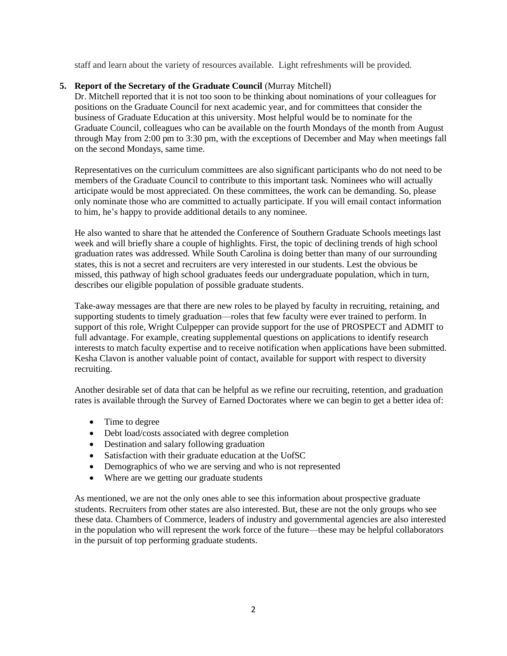staff and learn about the variety of resources available. Light refreshments will be provided.

# **5. Report of the Secretary of the Graduate Council** (Murray Mitchell)

Dr. Mitchell reported that it is not too soon to be thinking about nominations of your colleagues for positions on the Graduate Council for next academic year, and for committees that consider the business of Graduate Education at this university. Most helpful would be to nominate for the Graduate Council, colleagues who can be available on the fourth Mondays of the month from August through May from 2:00 pm to 3:30 pm, with the exceptions of December and May when meetings fall on the second Mondays, same time.

Representatives on the curriculum committees are also significant participants who do not need to be members of the Graduate Council to contribute to this important task. Nominees who will actually articipate would be most appreciated. On these committees, the work can be demanding. So, please only nominate those who are committed to actually participate. If you will email contact information to him, he's happy to provide additional details to any nominee.

He also wanted to share that he attended the Conference of Southern Graduate Schools meetings last week and will briefly share a couple of highlights. First, the topic of declining trends of high school graduation rates was addressed. While South Carolina is doing better than many of our surrounding states, this is not a secret and recruiters are very interested in our students. Lest the obvious be missed, this pathway of high school graduates feeds our undergraduate population, which in turn, describes our eligible population of possible graduate students.

Take-away messages are that there are new roles to be played by faculty in recruiting, retaining, and supporting students to timely graduation—roles that few faculty were ever trained to perform. In support of this role, Wright Culpepper can provide support for the use of PROSPECT and ADMIT to full advantage. For example, creating supplemental questions on applications to identify research interests to match faculty expertise and to receive notification when applications have been submitted. Kesha Clavon is another valuable point of contact, available for support with respect to diversity recruiting.

Another desirable set of data that can be helpful as we refine our recruiting, retention, and graduation rates is available through the Survey of Earned Doctorates where we can begin to get a better idea of:

- Time to degree
- Debt load/costs associated with degree completion
- Destination and salary following graduation
- Satisfaction with their graduate education at the UofSC
- Demographics of who we are serving and who is not represented
- Where are we getting our graduate students

As mentioned, we are not the only ones able to see this information about prospective graduate students. Recruiters from other states are also interested. But, these are not the only groups who see these data. Chambers of Commerce, leaders of industry and governmental agencies are also interested in the population who will represent the work force of the future—these may be helpful collaborators in the pursuit of top performing graduate students.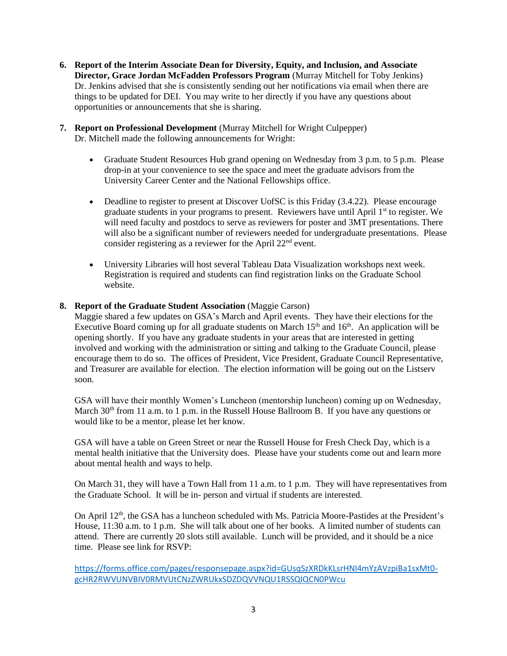- **6. Report of the Interim Associate Dean for Diversity, Equity, and Inclusion, and Associate Director, Grace Jordan McFadden Professors Program** (Murray Mitchell for Toby Jenkins) Dr. Jenkins advised that she is consistently sending out her notifications via email when there are things to be updated for DEI. You may write to her directly if you have any questions about opportunities or announcements that she is sharing.
- **7. Report on Professional Development** (Murray Mitchell for Wright Culpepper) Dr. Mitchell made the following announcements for Wright:
	- Graduate Student Resources Hub grand opening on Wednesday from 3 p.m. to 5 p.m. Please drop-in at your convenience to see the space and meet the graduate advisors from the University Career Center and the National Fellowships office.
	- Deadline to register to present at Discover UofSC is this Friday (3.4.22). Please encourage graduate students in your programs to present. Reviewers have until April 1<sup>st</sup> to register. We will need faculty and postdocs to serve as reviewers for poster and 3MT presentations. There will also be a significant number of reviewers needed for undergraduate presentations. Please consider registering as a reviewer for the April  $22<sup>nd</sup>$  event.
	- University Libraries will host several Tableau Data Visualization workshops next week. Registration is required and students can find registration links on the Graduate School website.

# 8. **Report of the Graduate Student Association** (Maggie Carson)

Maggie shared a few updates on GSA's March and April events. They have their elections for the Executive Board coming up for all graduate students on March  $15<sup>th</sup>$  and  $16<sup>th</sup>$ . An application will be opening shortly. If you have any graduate students in your areas that are interested in getting involved and working with the administration or sitting and talking to the Graduate Council, please encourage them to do so. The offices of President, Vice President, Graduate Council Representative, and Treasurer are available for election. The election information will be going out on the Listserv soon.

GSA will have their monthly Women's Luncheon (mentorship luncheon) coming up on Wednesday, March  $30<sup>th</sup>$  from 11 a.m. to 1 p.m. in the Russell House Ballroom B. If you have any questions or would like to be a mentor, please let her know.

GSA will have a table on Green Street or near the Russell House for Fresh Check Day, which is a mental health initiative that the University does. Please have your students come out and learn more about mental health and ways to help.

On March 31, they will have a Town Hall from 11 a.m. to 1 p.m. They will have representatives from the Graduate School. It will be in- person and virtual if students are interested.

On April 12<sup>th</sup>, the GSA has a luncheon scheduled with Ms. Patricia Moore-Pastides at the President's House, 11:30 a.m. to 1 p.m. She will talk about one of her books. A limited number of students can attend. There are currently 20 slots still available. Lunch will be provided, and it should be a nice time. Please see link for RSVP:

[https://forms.office.com/pages/responsepage.aspx?id=GUsqSzXRDkKLsrHNI4mYzAVzpiBa1sxMt0](https://forms.office.com/pages/responsepage.aspx?id=GUsqSzXRDkKLsrHNI4mYzAVzpiBa1sxMt0-gcHR2RWVUNVBIV0RMVUtCNzZWRUkxSDZDQVVNQU1RSSQlQCN0PWcu) [gcHR2RWVUNVBIV0RMVUtCNzZWRUkxSDZDQVVNQU1RSSQlQCN0PWcu](https://forms.office.com/pages/responsepage.aspx?id=GUsqSzXRDkKLsrHNI4mYzAVzpiBa1sxMt0-gcHR2RWVUNVBIV0RMVUtCNzZWRUkxSDZDQVVNQU1RSSQlQCN0PWcu)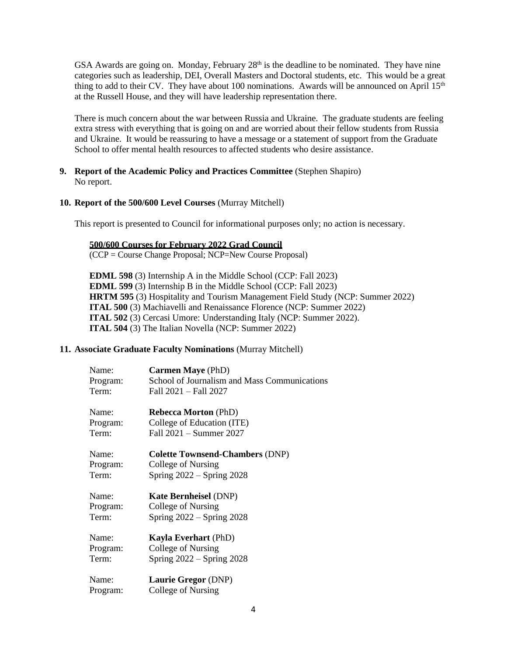GSA Awards are going on. Monday, February  $28<sup>th</sup>$  is the deadline to be nominated. They have nine categories such as leadership, DEI, Overall Masters and Doctoral students, etc. This would be a great thing to add to their CV. They have about 100 nominations. Awards will be announced on April  $15<sup>th</sup>$ at the Russell House, and they will have leadership representation there.

There is much concern about the war between Russia and Ukraine. The graduate students are feeling extra stress with everything that is going on and are worried about their fellow students from Russia and Ukraine. It would be reassuring to have a message or a statement of support from the Graduate School to offer mental health resources to affected students who desire assistance.

## **9. Report of the Academic Policy and Practices Committee** (Stephen Shapiro) No report.

**10. Report of the 500/600 Level Courses** (Murray Mitchell)

This report is presented to Council for informational purposes only; no action is necessary.

# **500/600 Courses for February 2022 Grad Council**

(CCP = Course Change Proposal; NCP=New Course Proposal)

**EDML 598** (3) Internship A in the Middle School (CCP: Fall 2023) **EDML 599** (3) Internship B in the Middle School (CCP: Fall 2023) **HRTM 595** (3) Hospitality and Tourism Management Field Study (NCP: Summer 2022) **ITAL 500** (3) Machiavelli and Renaissance Florence (NCP: Summer 2022) **ITAL 502** (3) Cercasi Umore: Understanding Italy (NCP: Summer 2022). **ITAL 504** (3) The Italian Novella (NCP: Summer 2022)

# **11. Associate Graduate Faculty Nominations** (Murray Mitchell)

| Name:    | <b>Carmen Maye</b> (PhD)                     |
|----------|----------------------------------------------|
| Program: | School of Journalism and Mass Communications |
| Term:    | Fall 2021 - Fall 2027                        |
| Name:    | <b>Rebecca Morton (PhD)</b>                  |
| Program: | College of Education (ITE)                   |
| Term:    | Fall $2021 -$ Summer $2027$                  |
| Name:    | <b>Colette Townsend-Chambers (DNP)</b>       |
| Program: | College of Nursing                           |
| Term:    | Spring $2022 -$ Spring 2028                  |
| Name:    | <b>Kate Bernheisel</b> (DNP)                 |
| Program: | College of Nursing                           |
| Term:    | Spring $2022 -$ Spring 2028                  |
| Name:    | <b>Kayla Everhart</b> (PhD)                  |
| Program: | College of Nursing                           |
| Term:    | Spring $2022 -$ Spring 2028                  |
| Name:    | Laurie Gregor (DNP)                          |
| Program: | College of Nursing                           |
|          |                                              |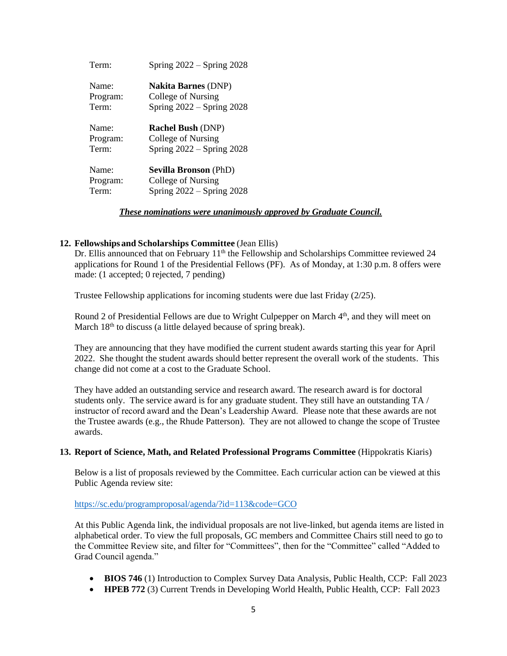| Term:    | Spring $2022 -$ Spring $2028$ |
|----------|-------------------------------|
| Name:    | <b>Nakita Barnes (DNP)</b>    |
| Program: | College of Nursing            |
| Term:    | Spring 2022 - Spring 2028     |
| Name:    | <b>Rachel Bush (DNP)</b>      |
| Program: | College of Nursing            |
| Term:    | Spring $2022 -$ Spring $2028$ |
| Name:    | <b>Sevilla Bronson</b> (PhD)  |
| Program: | College of Nursing            |
| Term:    | Spring $2022 -$ Spring 2028   |

## *These nominations were unanimously approved by Graduate Council.*

## **12. Fellowships and Scholarships Committee** (Jean Ellis)

Dr. Ellis announced that on February 11<sup>th</sup> the Fellowship and Scholarships Committee reviewed 24 applications for Round 1 of the Presidential Fellows (PF). As of Monday, at 1:30 p.m. 8 offers were made: (1 accepted; 0 rejected, 7 pending)

Trustee Fellowship applications for incoming students were due last Friday (2/25).

Round 2 of Presidential Fellows are due to Wright Culpepper on March 4<sup>th</sup>, and they will meet on March 18<sup>th</sup> to discuss (a little delayed because of spring break).

They are announcing that they have modified the current student awards starting this year for April 2022. She thought the student awards should better represent the overall work of the students. This change did not come at a cost to the Graduate School.

They have added an outstanding service and research award. The research award is for doctoral students only. The service award is for any graduate student. They still have an outstanding TA / instructor of record award and the Dean's Leadership Award. Please note that these awards are not the Trustee awards (e.g., the Rhude Patterson). They are not allowed to change the scope of Trustee awards.

### **13. Report of Science, Math, and Related Professional Programs Committee** (Hippokratis Kiaris)

Below is a list of proposals reviewed by the Committee. Each curricular action can be viewed at this Public Agenda review site:

#### <https://sc.edu/programproposal/agenda/?id=113&code=GCO>

At this Public Agenda link, the individual proposals are not live-linked, but agenda items are listed in alphabetical order. To view the full proposals, GC members and Committee Chairs still need to go to the Committee Review site, and filter for "Committees", then for the "Committee" called "Added to Grad Council agenda."

- **BIOS 746** (1) Introduction to Complex Survey Data Analysis, Public Health, CCP: Fall 2023
- **HPEB 772** (3) Current Trends in Developing World Health, Public Health, CCP: Fall 2023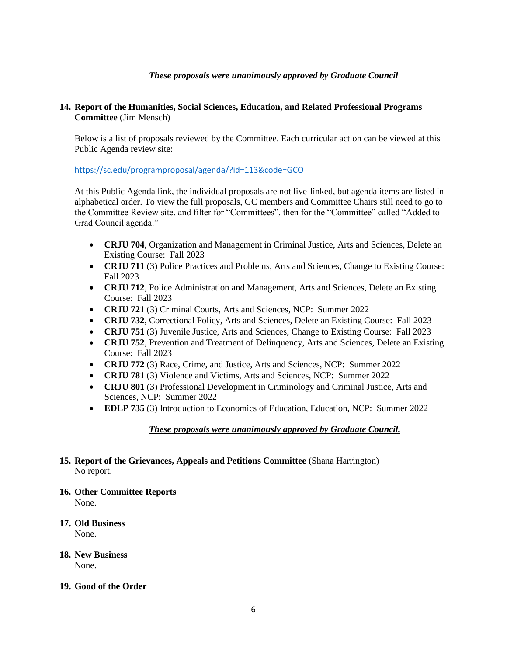# *These proposals were unanimously approved by Graduate Council*

# **14. Report of the Humanities, Social Sciences, Education, and Related Professional Programs Committee** (Jim Mensch)

Below is a list of proposals reviewed by the Committee. Each curricular action can be viewed at this Public Agenda review site:

# <https://sc.edu/programproposal/agenda/?id=113&code=GCO>

At this Public Agenda link, the individual proposals are not live-linked, but agenda items are listed in alphabetical order. To view the full proposals, GC members and Committee Chairs still need to go to the Committee Review site, and filter for "Committees", then for the "Committee" called "Added to Grad Council agenda."

- **CRJU 704**, Organization and Management in Criminal Justice, Arts and Sciences, Delete an Existing Course: Fall 2023
- **CRJU 711** (3) Police Practices and Problems, Arts and Sciences, Change to Existing Course: Fall 2023
- **CRJU 712**, Police Administration and Management, Arts and Sciences, Delete an Existing Course: Fall 2023
- **CRJU 721** (3) Criminal Courts, Arts and Sciences, NCP: Summer 2022
- **CRJU 732**, Correctional Policy, Arts and Sciences, Delete an Existing Course: Fall 2023
- **CRJU 751** (3) Juvenile Justice, Arts and Sciences, Change to Existing Course: Fall 2023
- **CRJU 752**, Prevention and Treatment of Delinquency, Arts and Sciences, Delete an Existing Course: Fall 2023
- **CRJU 772** (3) Race, Crime, and Justice, Arts and Sciences, NCP: Summer 2022
- **CRJU 781** (3) Violence and Victims, Arts and Sciences, NCP: Summer 2022
- **CRJU 801** (3) Professional Development in Criminology and Criminal Justice, Arts and Sciences, NCP: Summer 2022
- **EDLP 735** (3) Introduction to Economics of Education, Education, NCP: Summer 2022

# *These proposals were unanimously approved by Graduate Council.*

# **15. Report of the Grievances, Appeals and Petitions Committee** (Shana Harrington) No report.

# **16. Other Committee Reports**

None.

## **17. Old Business** None.

# **18. New Business**

None.

# **19. Good of the Order**